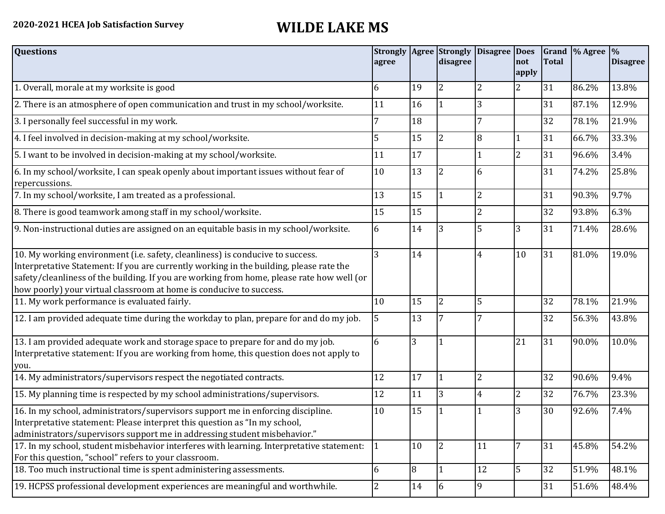## **2020-2021 HCEA Job Satisfaction Survey WILDE LAKE MS**

| <b>Questions</b>                                                                                                                                                                                                                                                                                                                               | agree          |                | <b>Strongly Agree Strongly</b><br>disagree | Disagree Does  | not<br>apply   | <b>Total</b> | Grand % Agree % | <b>Disagree</b> |
|------------------------------------------------------------------------------------------------------------------------------------------------------------------------------------------------------------------------------------------------------------------------------------------------------------------------------------------------|----------------|----------------|--------------------------------------------|----------------|----------------|--------------|-----------------|-----------------|
| 1. Overall, morale at my worksite is good                                                                                                                                                                                                                                                                                                      | 6              | 19             | $\overline{2}$                             | $\overline{2}$ | 2              | 31           | 86.2%           | 13.8%           |
| 2. There is an atmosphere of open communication and trust in my school/worksite.                                                                                                                                                                                                                                                               | 11             | 16             |                                            | 3              |                | 31           | 87.1%           | 12.9%           |
| 3. I personally feel successful in my work.                                                                                                                                                                                                                                                                                                    |                | 18             |                                            |                |                | 32           | 78.1%           | 21.9%           |
| 4. I feel involved in decision-making at my school/worksite.                                                                                                                                                                                                                                                                                   | 5              | 15             | $\overline{2}$                             | 8              | 1              | 31           | 66.7%           | 33.3%           |
| 5. I want to be involved in decision-making at my school/worksite.                                                                                                                                                                                                                                                                             | 11             | 17             |                                            |                | $\overline{2}$ | 31           | 96.6%           | 3.4%            |
| 6. In my school/worksite, I can speak openly about important issues without fear of<br>repercussions.                                                                                                                                                                                                                                          | 10             | 13             | $\overline{2}$                             | 6              |                | 31           | 74.2%           | 25.8%           |
| 7. In my school/worksite, I am treated as a professional.                                                                                                                                                                                                                                                                                      | 13             | 15             | $\vert$ 1                                  | $\overline{2}$ |                | 31           | 90.3%           | 9.7%            |
| 8. There is good teamwork among staff in my school/worksite.                                                                                                                                                                                                                                                                                   | 15             | 15             |                                            | $\overline{2}$ |                | 32           | 93.8%           | 6.3%            |
| 9. Non-instructional duties are assigned on an equitable basis in my school/worksite.                                                                                                                                                                                                                                                          | 6              | 14             | 3                                          | 5              | 3              | 31           | 71.4%           | 28.6%           |
| 10. My working environment (i.e. safety, cleanliness) is conducive to success.<br>Interpretative Statement: If you are currently working in the building, please rate the<br>safety/cleanliness of the building. If you are working from home, please rate how well (or<br>how poorly) your virtual classroom at home is conducive to success. | 3              | 14             |                                            | 4              | 10             | 31           | 81.0%           | 19.0%           |
| 11. My work performance is evaluated fairly.                                                                                                                                                                                                                                                                                                   | 10             | 15             | $\overline{2}$                             | 5              |                | 32           | 78.1%           | 21.9%           |
| 12. I am provided adequate time during the workday to plan, prepare for and do my job.                                                                                                                                                                                                                                                         | 5              | 13             | 7                                          |                |                | 32           | 56.3%           | 43.8%           |
| 13. I am provided adequate work and storage space to prepare for and do my job.<br>Interpretative statement: If you are working from home, this question does not apply to<br>you.                                                                                                                                                             | 6              | 3              |                                            |                | 21             | 31           | 90.0%           | 10.0%           |
| 14. My administrators/supervisors respect the negotiated contracts.                                                                                                                                                                                                                                                                            | 12             | 17             | $\overline{1}$                             | $\overline{2}$ |                | 32           | 90.6%           | 9.4%            |
| 15. My planning time is respected by my school administrations/supervisors.                                                                                                                                                                                                                                                                    | 12             | 11             | 3                                          | 4              | $\overline{2}$ | 32           | 76.7%           | 23.3%           |
| 16. In my school, administrators/supervisors support me in enforcing discipline.<br>Interpretative statement: Please interpret this question as "In my school,<br>administrators/supervisors support me in addressing student misbehavior."                                                                                                    | 10             | 15             |                                            |                | 3              | 30           | 92.6%           | 7.4%            |
| 17. In my school, student misbehavior interferes with learning. Interpretative statement:<br>For this question, "school" refers to your classroom.                                                                                                                                                                                             | $\mathbf{1}$   | 10             | I2                                         | 11             | 7              | 31           | 45.8%           | 54.2%           |
| 18. Too much instructional time is spent administering assessments.                                                                                                                                                                                                                                                                            | 6              | $\overline{8}$ | 11                                         | 12             | 5              | 32           | 51.9%           | 48.1%           |
| 19. HCPSS professional development experiences are meaningful and worthwhile.                                                                                                                                                                                                                                                                  | $\overline{2}$ | 14             | 6                                          | 9              |                | 31           | 51.6%           | 48.4%           |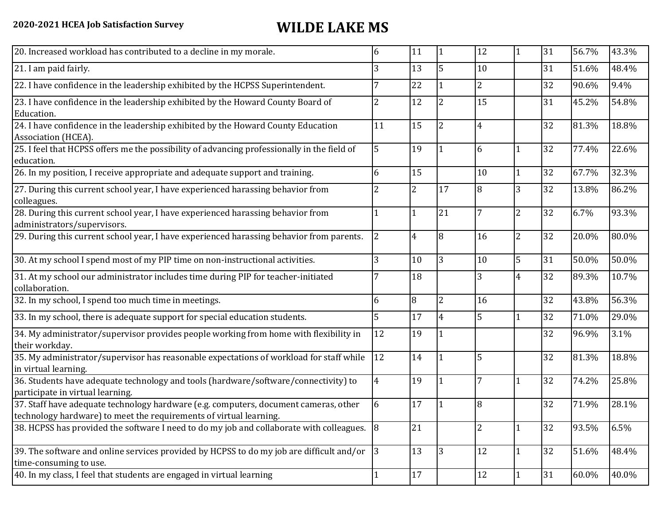| 20. Increased workload has contributed to a decline in my morale.                                                                                          | 6              | 11 |                | 12             |                | 31 | 56.7% | 43.3% |
|------------------------------------------------------------------------------------------------------------------------------------------------------------|----------------|----|----------------|----------------|----------------|----|-------|-------|
| 21. I am paid fairly.                                                                                                                                      | 3              | 13 | 5              | 10             |                | 31 | 51.6% | 48.4% |
| 22. I have confidence in the leadership exhibited by the HCPSS Superintendent.                                                                             |                | 22 |                | $\overline{2}$ |                | 32 | 90.6% | 9.4%  |
| 23. I have confidence in the leadership exhibited by the Howard County Board of<br>Education.                                                              | 2              | 12 | $\overline{2}$ | 15             |                | 31 | 45.2% | 54.8% |
| 24. I have confidence in the leadership exhibited by the Howard County Education<br>Association (HCEA).                                                    | 11             | 15 | $\overline{2}$ | 4              |                | 32 | 81.3% | 18.8% |
| 25. I feel that HCPSS offers me the possibility of advancing professionally in the field of<br>education.                                                  | 5              | 19 |                | 6              |                | 32 | 77.4% | 22.6% |
| 26. In my position, I receive appropriate and adequate support and training.                                                                               | 6              | 15 |                | 10             |                | 32 | 67.7% | 32.3% |
| 27. During this current school year, I have experienced harassing behavior from<br>colleagues.                                                             | 2              | 2  | 17             | 8              | 3              | 32 | 13.8% | 86.2% |
| 28. During this current school year, I have experienced harassing behavior from<br>administrators/supervisors.                                             |                | 1  | 21             | 7              | $\overline{2}$ | 32 | 6.7%  | 93.3% |
| 29. During this current school year, I have experienced harassing behavior from parents.                                                                   | $\overline{2}$ | 4  | 8              | 16             | $\overline{2}$ | 32 | 20.0% | 80.0% |
| 30. At my school I spend most of my PIP time on non-instructional activities.                                                                              | 3              | 10 | 3              | 10             | 5              | 31 | 50.0% | 50.0% |
| 31. At my school our administrator includes time during PIP for teacher-initiated<br>collaboration.                                                        |                | 18 |                | 3              | 4              | 32 | 89.3% | 10.7% |
| 32. In my school, I spend too much time in meetings.                                                                                                       | 6              | 8  | $\overline{2}$ | 16             |                | 32 | 43.8% | 56.3% |
| 33. In my school, there is adequate support for special education students.                                                                                | 5              | 17 | 4              | 5              | 1              | 32 | 71.0% | 29.0% |
| 34. My administrator/supervisor provides people working from home with flexibility in<br>their workday.                                                    | 12             | 19 |                |                |                | 32 | 96.9% | 3.1%  |
| 35. My administrator/supervisor has reasonable expectations of workload for staff while<br>in virtual learning.                                            | 12             | 14 |                | 5              |                | 32 | 81.3% | 18.8% |
| 36. Students have adequate technology and tools (hardware/software/connectivity) to<br>participate in virtual learning.                                    | 4              | 19 |                | 7              |                | 32 | 74.2% | 25.8% |
| 37. Staff have adequate technology hardware (e.g. computers, document cameras, other<br>technology hardware) to meet the requirements of virtual learning. | 6              | 17 |                | 8              |                | 32 | 71.9% | 28.1% |
| 38. HCPSS has provided the software I need to do my job and collaborate with colleagues.                                                                   | 8              | 21 |                | 2              | $\mathbf{1}$   | 32 | 93.5% | 6.5%  |
| 39. The software and online services provided by HCPSS to do my job are difficult and/or<br>time-consuming to use.                                         | $ 3\rangle$    | 13 | 3              | 12             |                | 32 | 51.6% | 48.4% |
| 40. In my class, I feel that students are engaged in virtual learning                                                                                      |                | 17 |                | 12             |                | 31 | 60.0% | 40.0% |
|                                                                                                                                                            |                |    |                |                |                |    |       |       |